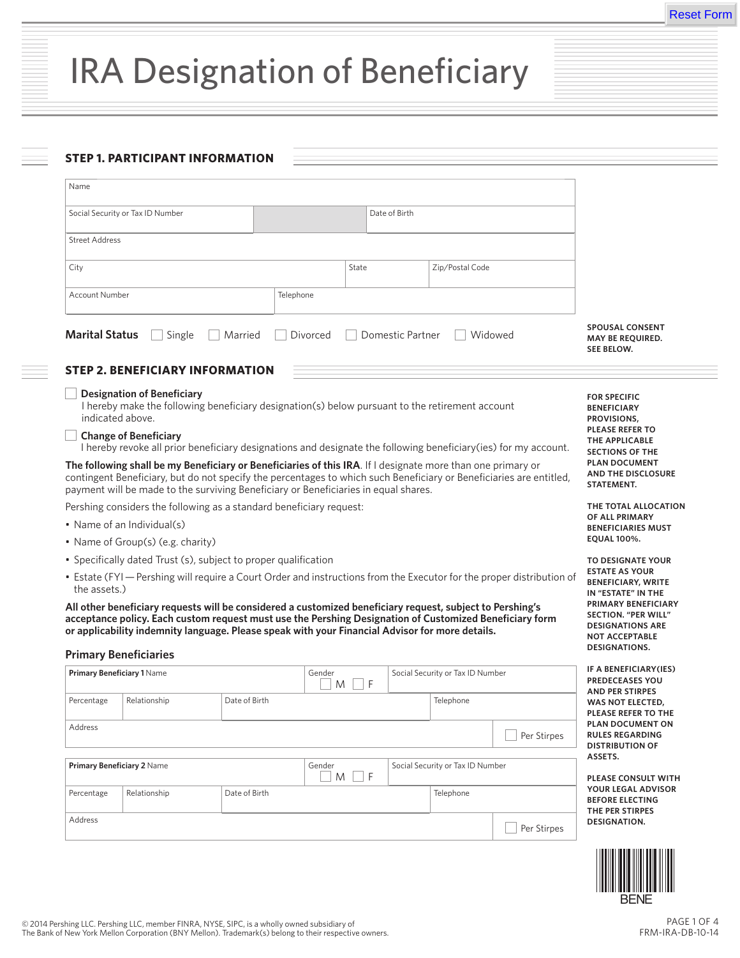# IRA Designation of Beneficiary

## **STEP 1. PARTICIPANT INFORMATION**

| Name                                                                                                                                                                                                                                                                                                                      |                                                                                                                                                                                                                                                                                                                                                         |                                      |             |                                                   |                                  |                                                                          |                                                                                                                                |
|---------------------------------------------------------------------------------------------------------------------------------------------------------------------------------------------------------------------------------------------------------------------------------------------------------------------------|---------------------------------------------------------------------------------------------------------------------------------------------------------------------------------------------------------------------------------------------------------------------------------------------------------------------------------------------------------|--------------------------------------|-------------|---------------------------------------------------|----------------------------------|--------------------------------------------------------------------------|--------------------------------------------------------------------------------------------------------------------------------|
|                                                                                                                                                                                                                                                                                                                           | Social Security or Tax ID Number                                                                                                                                                                                                                                                                                                                        |                                      |             | Date of Birth                                     |                                  |                                                                          |                                                                                                                                |
| <b>Street Address</b>                                                                                                                                                                                                                                                                                                     |                                                                                                                                                                                                                                                                                                                                                         |                                      |             |                                                   |                                  |                                                                          |                                                                                                                                |
| City                                                                                                                                                                                                                                                                                                                      |                                                                                                                                                                                                                                                                                                                                                         |                                      | State       |                                                   | Zip/Postal Code                  |                                                                          |                                                                                                                                |
|                                                                                                                                                                                                                                                                                                                           |                                                                                                                                                                                                                                                                                                                                                         |                                      |             |                                                   |                                  |                                                                          |                                                                                                                                |
| Account Number                                                                                                                                                                                                                                                                                                            |                                                                                                                                                                                                                                                                                                                                                         |                                      | Telephone   |                                                   |                                  |                                                                          |                                                                                                                                |
| <b>Marital Status</b>                                                                                                                                                                                                                                                                                                     | Single                                                                                                                                                                                                                                                                                                                                                  | Married                              | Divorced    | Domestic Partner                                  |                                  | Widowed                                                                  | <b>SPOUSAL CONSENT</b><br><b>MAY BE REOUIRED.</b><br>SEE BELOW.                                                                |
|                                                                                                                                                                                                                                                                                                                           | <b>STEP 2. BENEFICIARY INFORMATION</b>                                                                                                                                                                                                                                                                                                                  |                                      |             |                                                   |                                  |                                                                          |                                                                                                                                |
| indicated above.                                                                                                                                                                                                                                                                                                          | <b>Designation of Beneficiary</b><br>I hereby make the following beneficiary designation(s) below pursuant to the retirement account                                                                                                                                                                                                                    |                                      |             |                                                   |                                  |                                                                          | <b>FOR SPECIFIC</b><br><b>BENEFICIARY</b><br>PROVISIONS,                                                                       |
| <b>Change of Beneficiary</b><br>I hereby revoke all prior beneficiary designations and designate the following beneficiary(ies) for my account.                                                                                                                                                                           |                                                                                                                                                                                                                                                                                                                                                         |                                      |             |                                                   |                                  |                                                                          | <b>PLEASE REFER TO</b><br>THE APPLICABLE<br><b>SECTIONS OF THE</b><br><b>PLAN DOCUMENT</b><br>AND THE DISCLOSURE<br>STATEMENT. |
| The following shall be my Beneficiary or Beneficiaries of this IRA. If I designate more than one primary or<br>contingent Beneficiary, but do not specify the percentages to which such Beneficiary or Beneficiaries are entitled,<br>payment will be made to the surviving Beneficiary or Beneficiaries in equal shares. |                                                                                                                                                                                                                                                                                                                                                         |                                      |             |                                                   |                                  |                                                                          |                                                                                                                                |
| Pershing considers the following as a standard beneficiary request:                                                                                                                                                                                                                                                       |                                                                                                                                                                                                                                                                                                                                                         |                                      |             |                                                   |                                  |                                                                          | THE TOTAL ALLOCATION                                                                                                           |
| • Name of an Individual(s)                                                                                                                                                                                                                                                                                                |                                                                                                                                                                                                                                                                                                                                                         |                                      |             |                                                   |                                  |                                                                          | OF ALL PRIMARY<br><b>BENEFICIARIES MUST</b>                                                                                    |
| • Name of Group(s) (e.g. charity)                                                                                                                                                                                                                                                                                         |                                                                                                                                                                                                                                                                                                                                                         |                                      |             |                                                   |                                  |                                                                          | <b>EQUAL 100%.</b>                                                                                                             |
|                                                                                                                                                                                                                                                                                                                           | • Specifically dated Trust (s), subject to proper qualification                                                                                                                                                                                                                                                                                         |                                      |             |                                                   |                                  |                                                                          | TO DESIGNATE YOUR                                                                                                              |
| • Estate (FYI - Pershing will require a Court Order and instructions from the Executor for the proper distribution of<br>the assets.)                                                                                                                                                                                     |                                                                                                                                                                                                                                                                                                                                                         |                                      |             |                                                   |                                  | <b>ESTATE AS YOUR</b><br><b>BENEFICIARY, WRITE</b><br>IN "ESTATE" IN THE |                                                                                                                                |
|                                                                                                                                                                                                                                                                                                                           | All other beneficiary requests will be considered a customized beneficiary request, subject to Pershing's<br>acceptance policy. Each custom request must use the Pershing Designation of Customized Beneficiary form<br>or applicability indemnity language. Please speak with your Financial Advisor for more details.<br><b>Primary Beneficiaries</b> |                                      |             |                                                   |                                  |                                                                          | PRIMARY BENEFICIARY<br><b>SECTION. "PER WILL"</b><br><b>DESIGNATIONS ARE</b><br><b>NOT ACCEPTABLE</b><br>DESIGNATIONS.         |
| Primary Beneficiary 1 Name                                                                                                                                                                                                                                                                                                |                                                                                                                                                                                                                                                                                                                                                         |                                      | Gender      |                                                   | Social Security or Tax ID Number |                                                                          | IF A BENEFICIARY (IES)<br><b>PREDECEASES YOU</b>                                                                               |
| Percentage                                                                                                                                                                                                                                                                                                                | Relationship                                                                                                                                                                                                                                                                                                                                            | F<br>M<br>Date of Birth<br>Telephone |             | <b>AND PER STIRPES</b><br><b>WAS NOT ELECTED,</b> |                                  |                                                                          |                                                                                                                                |
| Address                                                                                                                                                                                                                                                                                                                   |                                                                                                                                                                                                                                                                                                                                                         |                                      |             |                                                   |                                  |                                                                          | PLEASE REFER TO THE<br>PLAN DOCUMENT ON                                                                                        |
|                                                                                                                                                                                                                                                                                                                           |                                                                                                                                                                                                                                                                                                                                                         |                                      |             |                                                   |                                  | Per Stirpes                                                              | <b>RULES REGARDING</b><br><b>DISTRIBUTION OF</b>                                                                               |
| Primary Beneficiary 2 Name                                                                                                                                                                                                                                                                                                |                                                                                                                                                                                                                                                                                                                                                         |                                      | Gender<br>M | F                                                 | Social Security or Tax ID Number |                                                                          | ASSETS.<br><b>PLEASE CONSULT WITH</b>                                                                                          |
| Percentage                                                                                                                                                                                                                                                                                                                | Relationship                                                                                                                                                                                                                                                                                                                                            | Date of Birth                        |             |                                                   | Telephone                        |                                                                          | YOUR LEGAL ADVISOR<br><b>BEFORE ELECTING</b><br>THE PER STIRPES                                                                |



BENE

**DESIGNATION.**

Per Stirpes

Address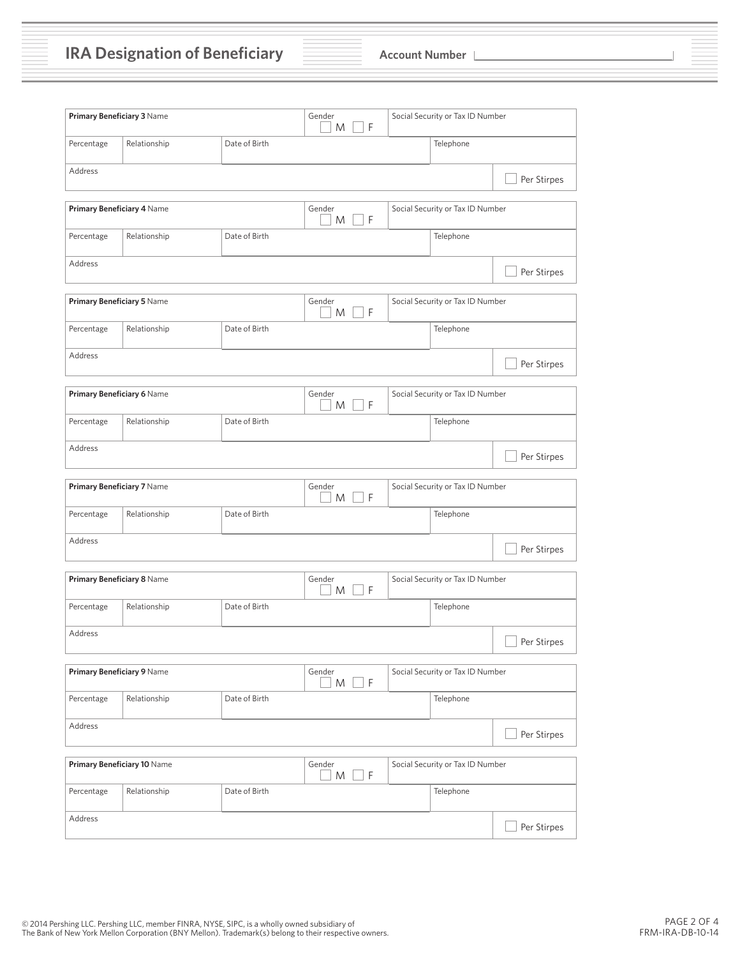**IRA Designation of Beneficiary Account Number** 

| Primary Beneficiary 3 Name                  |              |               | Gender<br>l F<br>M            | Social Security or Tax ID Number |             |  |
|---------------------------------------------|--------------|---------------|-------------------------------|----------------------------------|-------------|--|
| Percentage<br>Relationship<br>Date of Birth |              |               |                               | Telephone                        |             |  |
| Address                                     |              |               |                               |                                  | Per Stirpes |  |
|                                             |              |               |                               |                                  |             |  |
| Primary Beneficiary 4 Name                  |              |               | Gender<br>l F<br>M            | Social Security or Tax ID Number |             |  |
| Percentage                                  | Relationship | Date of Birth |                               | Telephone                        |             |  |
| Address                                     |              |               |                               |                                  | Per Stirpes |  |
|                                             |              |               |                               |                                  |             |  |
| Primary Beneficiary 5 Name                  |              |               | Gender<br>$\overline{F}$<br>M | Social Security or Tax ID Number |             |  |
| Percentage                                  | Relationship | Date of Birth |                               | Telephone                        |             |  |
| Address                                     |              |               |                               |                                  | Per Stirpes |  |
|                                             |              |               |                               |                                  |             |  |
| Primary Beneficiary 6 Name                  |              |               | Gender<br>F<br>M              | Social Security or Tax ID Number |             |  |
| Percentage                                  | Relationship | Date of Birth |                               | Telephone                        |             |  |
| Address                                     |              |               |                               |                                  | Per Stirpes |  |
|                                             |              |               |                               |                                  |             |  |
| Primary Beneficiary 7 Name                  |              |               | Gender<br>$\overline{F}$<br>M | Social Security or Tax ID Number |             |  |
| Percentage                                  | Relationship | Date of Birth |                               | Telephone                        |             |  |
| Address                                     |              |               |                               |                                  | Per Stirpes |  |
|                                             |              |               |                               |                                  |             |  |
| Primary Beneficiary 8 Name                  |              |               | Gender<br>$\mathsf{F}$<br>M   | Social Security or Tax ID Number |             |  |
| Percentage                                  | Relationship | Date of Birth |                               | Telephone                        |             |  |
| Address                                     |              |               |                               |                                  | Per Stirpes |  |
|                                             |              |               |                               |                                  |             |  |
| Primary Beneficiary 9 Name                  |              |               | Gender<br>$\overline{F}$<br>M | Social Security or Tax ID Number |             |  |
| Percentage                                  | Relationship | Date of Birth |                               | Telephone                        |             |  |
| Address                                     |              |               |                               |                                  | Per Stirpes |  |
|                                             |              |               |                               | Social Security or Tax ID Number |             |  |
| Primary Beneficiary 10 Name                 |              |               | Gender<br>F<br>M              |                                  |             |  |
| Percentage                                  | Relationship | Date of Birth |                               | Telephone                        |             |  |
| Address                                     |              |               |                               |                                  | Per Stirpes |  |
|                                             |              |               |                               |                                  |             |  |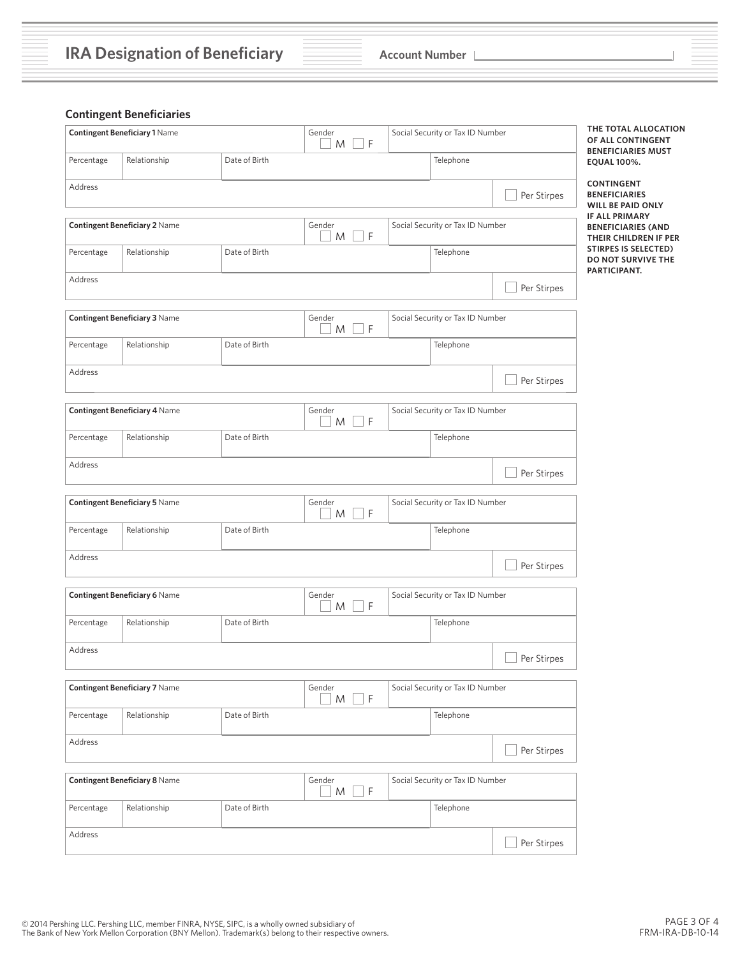## **Contingent Beneficiaries**

| <b>Contingent Beneficiary 1 Name</b> |                                      | Gender<br>F<br>M | Social Security or Tax ID Number |                                  | THE TOTAL ALLOCATION<br>OF ALL CONTINGENT<br><b>BENEFICIARIES MUST</b> |                                                                      |
|--------------------------------------|--------------------------------------|------------------|----------------------------------|----------------------------------|------------------------------------------------------------------------|----------------------------------------------------------------------|
| Percentage                           | Relationship                         | Date of Birth    |                                  | Telephone                        |                                                                        | <b>EQUAL 100%.</b>                                                   |
| Address                              |                                      |                  |                                  |                                  | Per Stirpes                                                            | <b>CONTINGENT</b><br><b>BENEFICIARIES</b><br>WILL BE PAID ONLY       |
|                                      | <b>Contingent Beneficiary 2 Name</b> |                  | Gender<br>$\Box$ F<br>M          | Social Security or Tax ID Number |                                                                        | IF ALL PRIMARY<br><b>BENEFICIARIES (AND</b><br>THEIR CHILDREN IF PER |
| Percentage                           | Relationship                         | Date of Birth    |                                  | Telephone                        |                                                                        | <b>STIRPES IS SELECTED)</b><br>DO NOT SURVIVE THE<br>PARTICIPANT.    |
| Address                              |                                      |                  |                                  |                                  | Per Stirpes                                                            |                                                                      |
|                                      | Contingent Beneficiary 3 Name        |                  | Gender<br>F<br>M                 | Social Security or Tax ID Number |                                                                        |                                                                      |
| Percentage                           | Relationship                         | Date of Birth    |                                  | Telephone                        |                                                                        |                                                                      |
| Address                              |                                      |                  |                                  |                                  | Per Stirpes                                                            |                                                                      |
|                                      | Contingent Beneficiary 4 Name        |                  | Gender<br>$M \Box F$             | Social Security or Tax ID Number |                                                                        |                                                                      |
| Percentage                           | Relationship                         | Date of Birth    |                                  | Telephone                        |                                                                        |                                                                      |
| Address                              |                                      |                  |                                  |                                  | Per Stirpes                                                            |                                                                      |
|                                      | <b>Contingent Beneficiary 5 Name</b> |                  | Gender<br>F<br>M                 | Social Security or Tax ID Number |                                                                        |                                                                      |
| Percentage                           | Relationship                         | Date of Birth    |                                  | Telephone                        |                                                                        |                                                                      |
| Address                              |                                      |                  |                                  |                                  | Per Stirpes                                                            |                                                                      |
|                                      | <b>Contingent Beneficiary 6 Name</b> |                  | Gender<br>F<br>M                 | Social Security or Tax ID Number |                                                                        |                                                                      |
| Percentage                           | Relationship                         | Date of Birth    |                                  | Telephone                        |                                                                        |                                                                      |
| Address                              |                                      |                  |                                  |                                  | Per Stirpes                                                            |                                                                      |
|                                      | <b>Contingent Beneficiary 7 Name</b> |                  | Gender<br>F<br>M                 | Social Security or Tax ID Number |                                                                        |                                                                      |
| Percentage                           | Relationship                         | Date of Birth    |                                  | Telephone                        |                                                                        |                                                                      |
| Address                              |                                      |                  |                                  |                                  | Per Stirpes                                                            |                                                                      |
|                                      | Contingent Beneficiary 8 Name        |                  | Gender<br>$M \Box F$             | Social Security or Tax ID Number |                                                                        |                                                                      |
| Percentage                           | Relationship                         | Date of Birth    |                                  | Telephone                        |                                                                        |                                                                      |
| Address                              |                                      |                  |                                  |                                  | Per Stirpes                                                            |                                                                      |